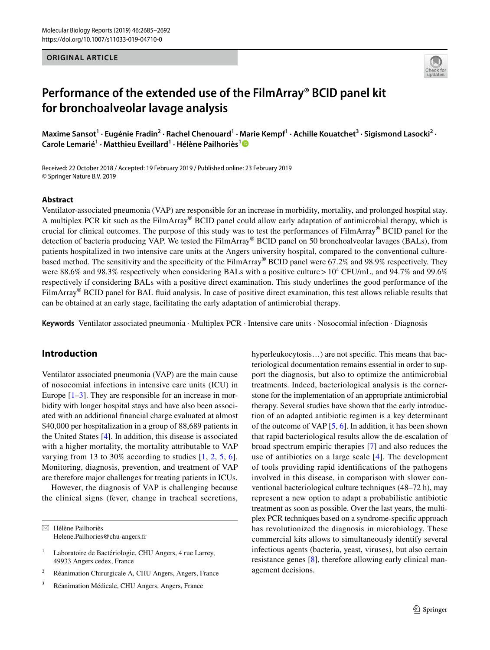## **ORIGINAL ARTICLE**



# **Performance of the extended use of the FilmArray® BCID panel kit for bronchoalveolar lavage analysis**

Maxime Sansot<sup>1</sup> · Eugénie Fradin<sup>2</sup> · Rachel Chenouard<sup>1</sup> · Marie Kempf<sup>1</sup> · Achille Kouatchet<sup>3</sup> · Sigismond Lasocki<sup>2</sup> · **Carole Lemarié1 · Matthieu Eveillard1 · Hélène Pailhoriès[1](http://orcid.org/0000-0002-0765-2357)**

Received: 22 October 2018 / Accepted: 19 February 2019 / Published online: 23 February 2019 © Springer Nature B.V. 2019

#### **Abstract**

Ventilator-associated pneumonia (VAP) are responsible for an increase in morbidity, mortality, and prolonged hospital stay. A multiplex PCR kit such as the FilmArray® BCID panel could allow early adaptation of antimicrobial therapy, which is crucial for clinical outcomes. The purpose of this study was to test the performances of FilmArray® BCID panel for the detection of bacteria producing VAP. We tested the FilmArray® BCID panel on 50 bronchoalveolar lavages (BALs), from patients hospitalized in two intensive care units at the Angers university hospital, compared to the conventional culturebased method. The sensitivity and the specificity of the FilmArray® BCID panel were 67.2% and 98.9% respectively. They were 88.6% and 98.3% respectively when considering BALs with a positive culture >  $10^4$  CFU/mL, and 94.7% and 99.6% respectively if considering BALs with a positive direct examination. This study underlines the good performance of the FilmArray® BCID panel for BAL fluid analysis. In case of positive direct examination, this test allows reliable results that can be obtained at an early stage, facilitating the early adaptation of antimicrobial therapy.

**Keywords** Ventilator associated pneumonia · Multiplex PCR · Intensive care units · Nosocomial infection · Diagnosis

# **Introduction**

Ventilator associated pneumonia (VAP) are the main cause of nosocomial infections in intensive care units (ICU) in Europe  $[1-3]$  $[1-3]$ . They are responsible for an increase in morbidity with longer hospital stays and have also been associated with an additional financial charge evaluated at almost \$40,000 per hospitalization in a group of 88,689 patients in the United States [\[4](#page-7-2)]. In addition, this disease is associated with a higher mortality, the mortality attributable to VAP varying from 13 to 30% according to studies [[1](#page-7-0), [2](#page-7-3), [5](#page-7-4), [6](#page-7-5)]. Monitoring, diagnosis, prevention, and treatment of VAP are therefore major challenges for treating patients in ICUs.

However, the diagnosis of VAP is challenging because the clinical signs (fever, change in tracheal secretions,

- <sup>2</sup> Réanimation Chirurgicale A, CHU Angers, Angers, France
- <sup>3</sup> Réanimation Médicale, CHU Angers, Angers, France

hyperleukocytosis...) are not specific. This means that bacteriological documentation remains essential in order to support the diagnosis, but also to optimize the antimicrobial treatments. Indeed, bacteriological analysis is the cornerstone for the implementation of an appropriate antimicrobial therapy. Several studies have shown that the early introduction of an adapted antibiotic regimen is a key determinant of the outcome of VAP [\[5](#page-7-4), [6\]](#page-7-5). In addition, it has been shown that rapid bacteriological results allow the de-escalation of broad spectrum empiric therapies [[7\]](#page-7-6) and also reduces the use of antibiotics on a large scale [[4\]](#page-7-2). The development of tools providing rapid identifications of the pathogens involved in this disease, in comparison with slower conventional bacteriological culture techniques (48–72 h), may represent a new option to adapt a probabilistic antibiotic treatment as soon as possible. Over the last years, the multiplex PCR techniques based on a syndrome-specific approach has revolutionized the diagnosis in microbiology. These commercial kits allows to simultaneously identify several infectious agents (bacteria, yeast, viruses), but also certain resistance genes [[8\]](#page-7-7), therefore allowing early clinical management decisions.

 $\boxtimes$  Hélène Pailhoriès Helene.Pailhories@chu-angers.fr

<sup>&</sup>lt;sup>1</sup> Laboratoire de Bactériologie, CHU Angers, 4 rue Larrey, 49933 Angers cedex, France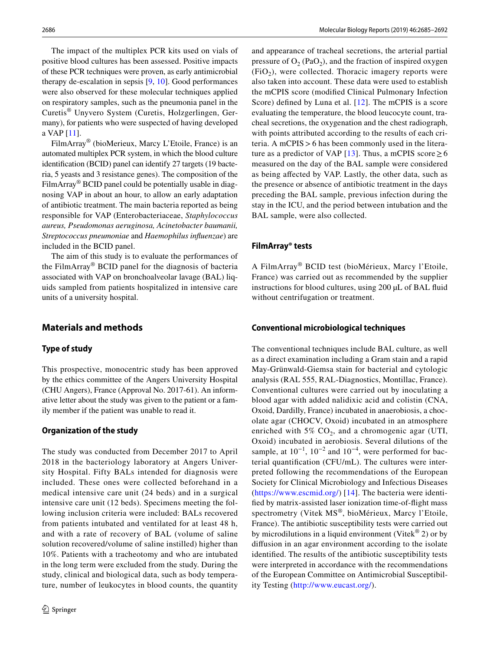The impact of the multiplex PCR kits used on vials of positive blood cultures has been assessed. Positive impacts of these PCR techniques were proven, as early antimicrobial therapy de-escalation in sepsis [\[9](#page-7-8), [10\]](#page-7-9). Good performances were also observed for these molecular techniques applied on respiratory samples, such as the pneumonia panel in the Curetis® Unyvero System (Curetis, Holzgerlingen, Germany), for patients who were suspected of having developed a VAP [\[11](#page-7-10)].

FilmArray® (bioMerieux, Marcy L'Etoile, France) is an automated multiplex PCR system, in which the blood culture identification (BCID) panel can identify 27 targets (19 bacteria, 5 yeasts and 3 resistance genes). The composition of the FilmArray® BCID panel could be potentially usable in diagnosing VAP in about an hour, to allow an early adaptation of antibiotic treatment. The main bacteria reported as being responsible for VAP (Enterobacteriaceae, *Staphylococcus aureus, Pseudomonas aeruginosa, Acinetobacter baumanii, Streptococcus pneumoniae* and *Haemophilus influenzae*) are included in the BCID panel.

The aim of this study is to evaluate the performances of the FilmArray® BCID panel for the diagnosis of bacteria associated with VAP on bronchoalveolar lavage (BAL) liquids sampled from patients hospitalized in intensive care units of a university hospital.

# **Materials and methods**

# **Type of study**

This prospective, monocentric study has been approved by the ethics committee of the Angers University Hospital (CHU Angers), France (Approval No. 2017-61). An informative letter about the study was given to the patient or a family member if the patient was unable to read it.

#### **Organization of the study**

The study was conducted from December 2017 to April 2018 in the bacteriology laboratory at Angers University Hospital. Fifty BALs intended for diagnosis were included. These ones were collected beforehand in a medical intensive care unit (24 beds) and in a surgical intensive care unit (12 beds). Specimens meeting the following inclusion criteria were included: BALs recovered from patients intubated and ventilated for at least 48 h, and with a rate of recovery of BAL (volume of saline solution recovered/volume of saline instilled) higher than 10%. Patients with a tracheotomy and who are intubated in the long term were excluded from the study. During the study, clinical and biological data, such as body temperature, number of leukocytes in blood counts, the quantity and appearance of tracheal secretions, the arterial partial pressure of  $O_2$  (PaO<sub>2</sub>), and the fraction of inspired oxygen  $(FiO<sub>2</sub>)$ , were collected. Thoracic imagery reports were also taken into account. These data were used to establish the mCPIS score (modified Clinical Pulmonary Infection Score) defined by Luna et al. [[12](#page-7-11)]. The mCPIS is a score evaluating the temperature, the blood leucocyte count, tracheal secretions, the oxygenation and the chest radiograph, with points attributed according to the results of each criteria. A mCPIS>6 has been commonly used in the litera-ture as a predictor of VAP [[13](#page-7-12)]. Thus, a mCPIS score  $\geq 6$ measured on the day of the BAL sample were considered as being affected by VAP. Lastly, the other data, such as the presence or absence of antibiotic treatment in the days preceding the BAL sample, previous infection during the stay in the ICU, and the period between intubation and the BAL sample, were also collected.

## **FilmArray® tests**

A FilmArray® BCID test (bioMérieux, Marcy l'Etoile, France) was carried out as recommended by the supplier instructions for blood cultures, using 200 µL of BAL fluid without centrifugation or treatment.

## **Conventional microbiological techniques**

The conventional techniques include BAL culture, as well as a direct examination including a Gram stain and a rapid May-Grünwald-Giemsa stain for bacterial and cytologic analysis (RAL 555, RAL-Diagnostics, Montillac, France). Conventional cultures were carried out by inoculating a blood agar with added nalidixic acid and colistin (CNA, Oxoid, Dardilly, France) incubated in anaerobiosis, a chocolate agar (CHOCV, Oxoid) incubated in an atmosphere enriched with  $5\%$  CO<sub>2</sub>, and a chromogenic agar (UTI, Oxoid) incubated in aerobiosis. Several dilutions of the sample, at  $10^{-1}$ ,  $10^{-2}$  and  $10^{-4}$ , were performed for bacterial quantification (CFU/mL). The cultures were interpreted following the recommendations of the European Society for Clinical Microbiology and Infectious Diseases ([https://www.escmid.org/\)](https://www.escmid.org/) [\[14\]](#page-7-13). The bacteria were identified by matrix-assisted laser ionization time-of-flight mass spectrometry (Vitek MS®, bioMérieux, Marcy l'Etoile, France). The antibiotic susceptibility tests were carried out by microdilutions in a liquid environment (Vitek<sup>®</sup> 2) or by diffusion in an agar environment according to the isolate identified. The results of the antibiotic susceptibility tests were interpreted in accordance with the recommendations of the European Committee on Antimicrobial Susceptibility Testing ([http://www.eucast.org/\)](http://www.eucast.org/).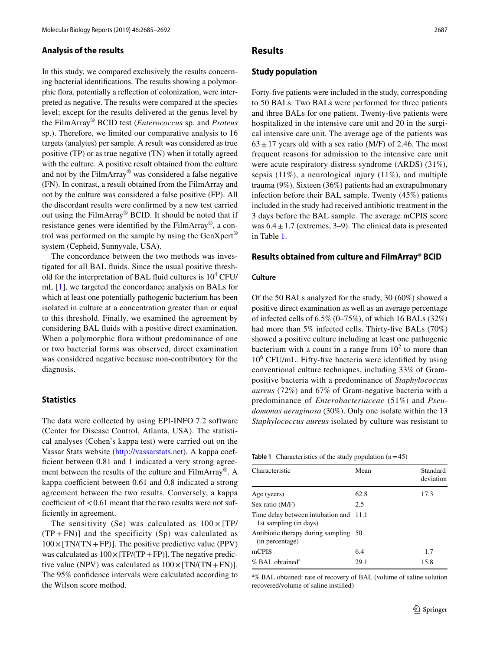#### **Analysis of the results**

In this study, we compared exclusively the results concerning bacterial identifications. The results showing a polymorphic flora, potentially a reflection of colonization, were interpreted as negative. The results were compared at the species level; except for the results delivered at the genus level by the FilmArray® BCID test (*Enterococcus* sp. and *Proteus* sp.). Therefore, we limited our comparative analysis to 16 targets (analytes) per sample. A result was considered as true positive (TP) or as true negative (TN) when it totally agreed with the culture. A positive result obtained from the culture and not by the FilmArray® was considered a false negative (FN). In contrast, a result obtained from the FilmArray and not by the culture was considered a false positive (FP). All the discordant results were confirmed by a new test carried out using the FilmArray® BCID. It should be noted that if resistance genes were identified by the FilmArray®, a control was performed on the sample by using the  $GenXpert^{\otimes}$ system (Cepheid, Sunnyvale, USA).

The concordance between the two methods was investigated for all BAL fluids. Since the usual positive threshold for the interpretation of BAL fluid cultures is  $10^4$  CFU/ mL [\[1](#page-7-0)], we targeted the concordance analysis on BALs for which at least one potentially pathogenic bacterium has been isolated in culture at a concentration greater than or equal to this threshold. Finally, we examined the agreement by considering BAL fluids with a positive direct examination. When a polymorphic flora without predominance of one or two bacterial forms was observed, direct examination was considered negative because non-contributory for the diagnosis.

#### **Statistics**

The data were collected by using EPI-INFO 7.2 software (Center for Disease Control, Atlanta, USA). The statistical analyses (Cohen's kappa test) were carried out on the Vassar Stats website [\(http://vassarstats.net\)](http://vassarstats.net). A kappa coefficient between 0.81 and 1 indicated a very strong agreement between the results of the culture and FilmArray®. A kappa coefficient between 0.61 and 0.8 indicated a strong agreement between the two results. Conversely, a kappa coefficient of  $< 0.61$  meant that the two results were not sufficiently in agreement.

The sensitivity (Se) was calculated as  $100 \times [TP/$  $(TP + FN)$ ] and the specificity (Sp) was calculated as  $100 \times [TN/(TN + FP)]$ . The positive predictive value (PPV) was calculated as  $100 \times [TP/(TP+FP)]$ . The negative predictive value (NPV) was calculated as  $100 \times [TN/(TN+FN)]$ . The 95% confidence intervals were calculated according to the Wilson score method.

## **Results**

### **Study population**

Forty-five patients were included in the study, corresponding to 50 BALs. Two BALs were performed for three patients and three BALs for one patient. Twenty-five patients were hospitalized in the intensive care unit and 20 in the surgical intensive care unit. The average age of the patients was  $63 \pm 17$  years old with a sex ratio (M/F) of 2.46. The most frequent reasons for admission to the intensive care unit were acute respiratory distress syndrome (ARDS) (31%), sepsis (11%), a neurological injury (11%), and multiple trauma (9%). Sixteen (36%) patients had an extrapulmonary infection before their BAL sample. Twenty (45%) patients included in the study had received antibiotic treatment in the 3 days before the BAL sample. The average mCPIS score was  $6.4 \pm 1.7$  (extremes, 3–9). The clinical data is presented in Table [1.](#page-2-0)

#### **Results obtained from culture and FilmArray® BCID**

#### **Culture**

Of the 50 BALs analyzed for the study, 30 (60%) showed a positive direct examination as well as an average percentage of infected cells of  $6.5\%$  (0–75%), of which 16 BALs (32%) had more than 5% infected cells. Thirty-five BALs (70%) showed a positive culture including at least one pathogenic bacterium with a count in a range from  $10<sup>2</sup>$  to more than 10<sup>6</sup> CFU/mL. Fifty-five bacteria were identified by using conventional culture techniques, including 33% of Grampositive bacteria with a predominance of *Staphylococcus aureus* (72%) and 67% of Gram-negative bacteria with a predominance of *Enterobacteriaceae* (51%) and *Pseudomonas aeruginosa* (30%). Only one isolate within the 13 *Staphylococcus aureus* isolated by culture was resistant to

<span id="page-2-0"></span>**Table 1** Characteristics of the study population  $(n=45)$ 

| Characteristic                                                   | Mean | Standard<br>deviation |
|------------------------------------------------------------------|------|-----------------------|
| Age (years)                                                      | 62.8 | 17.3                  |
| Sex ratio (M/F)                                                  | 2.5  |                       |
| Time delay between intubation and 11.1<br>1st sampling (in days) |      |                       |
| Antibiotic therapy during sampling 50<br>(in percentage)         |      |                       |
| mCPIS                                                            | 6.4  | 1.7                   |
| % BAL obtained <sup>a</sup>                                      | 29.1 | 15.8                  |

a % BAL obtained: rate of recovery of BAL (volume of saline solution recovered/volume of saline instilled)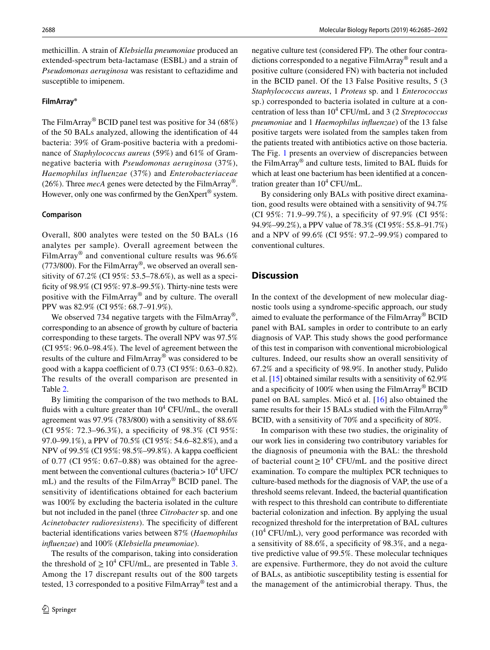methicillin. A strain of *Klebsiella pneumoniae* produced an extended-spectrum beta-lactamase (ESBL) and a strain of *Pseudomonas aeruginosa* was resistant to ceftazidime and susceptible to imipenem.

#### **FilmArray®**

The FilmArray® BCID panel test was positive for 34 (68%) of the 50 BALs analyzed, allowing the identification of 44 bacteria: 39% of Gram-positive bacteria with a predominance of *Staphylococcus aureus* (59%) and 61% of Gramnegative bacteria with *Pseudomonas aeruginosa* (37%), *Haemophilus influenzae* (37%) and *Enterobacteriaceae* (26%). Three *mecA* genes were detected by the FilmArray®. However, only one was confirmed by the GenXpert<sup>®</sup> system.

#### **Comparison**

Overall, 800 analytes were tested on the 50 BALs (16 analytes per sample). Overall agreement between the FilmArray® and conventional culture results was 96.6% (773/800). For the FilmArray<sup>®</sup>, we observed an overall sensitivity of 67.2% (CI 95%: 53.5–78.6%), as well as a specificity of 98.9% (CI 95%: 97.8–99.5%). Thirty-nine tests were positive with the FilmArray® and by culture. The overall PPV was 82.9% (CI 95%: 68.7–91.9%).

We observed 734 negative targets with the FilmArray<sup>®</sup>, corresponding to an absence of growth by culture of bacteria corresponding to these targets. The overall NPV was 97.5% (CI 95%: 96.0–98.4%). The level of agreement between the results of the culture and FilmArray® was considered to be good with a kappa coefficient of 0.73 (CI 95%: 0.63–0.82). The results of the overall comparison are presented in Table [2](#page-4-0).

By limiting the comparison of the two methods to BAL fluids with a culture greater than  $10^4$  CFU/mL, the overall agreement was 97.9% (783/800) with a sensitivity of 88.6% (CI 95%: 72.3–96.3%), a specificity of 98.3% (CI 95%: 97.0–99.1%), a PPV of 70.5% (CI 95%: 54.6–82.8%), and a NPV of 99.5% (CI 95%: 98.5%–99.8%). A kappa coefficient of 0.77 (CI 95%: 0.67–0.88) was obtained for the agreement between the conventional cultures (bacteria >  $10^4$  UFC/ mL) and the results of the FilmArray® BCID panel. The sensitivity of identifications obtained for each bacterium was 100% by excluding the bacteria isolated in the culture but not included in the panel (three *Citrobacter* sp. and one *Acinetobacter radioresistens*). The specificity of different bacterial identifications varies between 87% (*Haemophilus influenzae*) and 100% (*Klebsiella pneumoniae*).

The results of the comparison, taking into consideration the threshold of  $\geq 10^4$  CFU/mL, are presented in Table [3.](#page-5-0) Among the 17 discrepant results out of the 800 targets tested, 13 corresponded to a positive FilmArray® test and a

negative culture test (considered FP). The other four contradictions corresponded to a negative FilmArray® result and a positive culture (considered FN) with bacteria not included in the BCID panel. Of the 13 False Positive results, 5 (3 *Staphylococcus aureus*, 1 *Proteus* sp. and 1 *Enterococcus* sp.) corresponded to bacteria isolated in culture at a concentration of less than 10<sup>4</sup> CFU/mL and 3 (2 *Streptococcus pneumoniae* and 1 *Haemophilus influenzae*) of the 13 false positive targets were isolated from the samples taken from the patients treated with antibiotics active on those bacteria. The Fig. [1](#page-6-0) presents an overview of discrepancies between the FilmArray® and culture tests, limited to BAL fluids for which at least one bacterium has been identified at a concentration greater than  $10^4$  CFU/mL.

By considering only BALs with positive direct examination, good results were obtained with a sensitivity of 94.7% (CI 95%: 71.9–99.7%), a specificity of 97.9% (CI 95%: 94.9%–99.2%), a PPV value of 78.3% (CI 95%: 55.8–91.7%) and a NPV of 99.6% (CI 95%: 97.2–99.9%) compared to conventional cultures.

## **Discussion**

In the context of the development of new molecular diagnostic tools using a syndrome-specific approach, our study aimed to evaluate the performance of the FilmArray® BCID panel with BAL samples in order to contribute to an early diagnosis of VAP. This study shows the good performance of this test in comparison with conventional microbiological cultures. Indeed, our results show an overall sensitivity of 67.2% and a specificity of 98.9%. In another study, Pulido et al. [\[15](#page-7-14)] obtained similar results with a sensitivity of 62.9% and a specificity of 100% when using the FilmArray® BCID panel on BAL samples. Micó et al. [\[16](#page-7-15)] also obtained the same results for their 15 BALs studied with the FilmArray<sup>®</sup> BCID, with a sensitivity of 70% and a specificity of 80%.

In comparison with these two studies, the originality of our work lies in considering two contributory variables for the diagnosis of pneumonia with the BAL: the threshold of bacterial count  $\geq 10^4$  CFU/mL and the positive direct examination. To compare the multiplex PCR techniques to culture-based methods for the diagnosis of VAP, the use of a threshold seems relevant. Indeed, the bacterial quantification with respect to this threshold can contribute to differentiate bacterial colonization and infection. By applying the usual recognized threshold for the interpretation of BAL cultures (10<sup>4</sup> CFU/mL), very good performance was recorded with a sensitivity of 88.6%, a specificity of 98.3%, and a negative predictive value of 99.5%. These molecular techniques are expensive. Furthermore, they do not avoid the culture of BALs, as antibiotic susceptibility testing is essential for the management of the antimicrobial therapy. Thus, the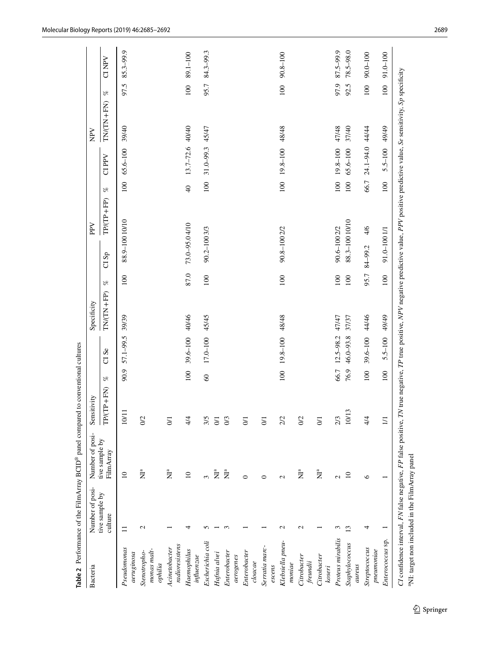|                                                |                                                             | <b>Table 2</b> Performance of the FilmArray $BCID^@$ panel compared | to conventional cultures |               |                  |             |      |                |              |                |                 |                                                                                                                                 |                             |               |
|------------------------------------------------|-------------------------------------------------------------|---------------------------------------------------------------------|--------------------------|---------------|------------------|-------------|------|----------------|--------------|----------------|-----------------|---------------------------------------------------------------------------------------------------------------------------------|-----------------------------|---------------|
| Bacteria                                       | Number of posi-                                             | Number of posi-                                                     | Sensitivity              |               |                  | Specificity |      |                | PPV          |                |                 | $\mathop{\rm NPV}\nolimits$                                                                                                     |                             |               |
|                                                | tive sample by<br>culture                                   | tive sample by<br>FilmArray                                         | $TP + FN$<br>TPIC        | $\mathcal{B}$ | CI <sub>Se</sub> | $TN(TN+FP)$ | $\%$ | C1Sp           | $TP/(TP+FP)$ | $\mathcal{B}$  | CI PPV          | $TN(TN+FN)$                                                                                                                     | $\mathcal{G}_{\mathcal{C}}$ | <b>CINPV</b>  |
| Pseudomonas<br>aeruginosa                      | $\equiv$                                                    | $\equiv$                                                            | 10/1                     | 90.9          | 57.1-99.5        | 39/39       | 100  | 88.9-100 10/10 |              | 100            | $65.6 - 100$    | 39/40                                                                                                                           | 97.5                        | 85.3-99.9     |
| monas malt-<br>Stenotropho-<br>$\alpha$ philia | $\mathbf 2$                                                 | $\sum^a$                                                            | O(2)                     |               |                  |             |      |                |              |                |                 |                                                                                                                                 |                             |               |
| radioresistens<br>Acinetobacter                |                                                             | $\sum_{i=1}^{n}$                                                    | 5                        |               |                  |             |      |                |              |                |                 |                                                                                                                                 |                             |               |
| Haemophilus<br>influenzae                      | 4                                                           | $\Box$                                                              | 4/4                      | 100           | 39.6-100         | 40/46       | 87.0 | 73.0-95.04/10  |              | $\overline{Q}$ | 13.7-72.6 40/40 |                                                                                                                                 | $\overline{100}$            | 89.1-100      |
| Escherichia coli                               |                                                             | 3                                                                   | 3/5                      | $\degree$     | 17.0-100         | 45/45       | 100  | 90.2-100 3/3   |              | 100            | 31.0-99.3 45/47 |                                                                                                                                 | 95.7                        | 84.3-99.3     |
| Hafnia alvei                                   |                                                             | $\sum_{i=1}^{n}$                                                    | $\Xi$                    |               |                  |             |      |                |              |                |                 |                                                                                                                                 |                             |               |
| Enterobacter                                   |                                                             | $\sum_{a}^{a}$                                                      | $\frac{0}{3}$            |               |                  |             |      |                |              |                |                 |                                                                                                                                 |                             |               |
| aerogenes                                      |                                                             |                                                                     |                          |               |                  |             |      |                |              |                |                 |                                                                                                                                 |                             |               |
| Enterobacter<br>cloacae                        |                                                             | $\circ$                                                             | S                        |               |                  |             |      |                |              |                |                 |                                                                                                                                 |                             |               |
| Serratia marc-<br>escens                       |                                                             | ∊                                                                   | $\overline{\delta}$      |               |                  |             |      |                |              |                |                 |                                                                                                                                 |                             |               |
| Klebsiella pneu-<br>moniae                     | $\mathbf{\Omega}$                                           | $\mathbf{c}$                                                        | 2/2                      | 100           | 19.8-100         | 48/48       | 100  | 90.8-100 2/2   |              | 100            | 19.8-100        | 48/48                                                                                                                           | 100                         | 90.8-100      |
| Citrobacter<br>freundii                        | $\mathbf{\Omega}$                                           | $\tilde{\mathbf{z}}^a$                                              | $\frac{2}{2}$            |               |                  |             |      |                |              |                |                 |                                                                                                                                 |                             |               |
| Citrobacter<br>koseri                          |                                                             | $\sum_{i=1}^{n}$                                                    | $\overline{5}$           |               |                  |             |      |                |              |                |                 |                                                                                                                                 |                             |               |
| Proteus mirabilis                              | ξ                                                           | $\mathcal{L}$                                                       | 2/3                      | 66.7          | $12.5 - 98.2$    | 47/47       | 100  | 90.6-1002/2    |              | 100            | 19.8-100        | 47/48                                                                                                                           | 97.9                        | 87.5-99.9     |
| Staphylococcus<br>aureus                       | $\mathbf{C}$                                                | $\Omega$                                                            | 10/1                     | 76.9          | 46.0-93.8        | 37/37       | 100  | 88.3-100 10/10 |              | 100            | $65.6 - 100$    | 37/40                                                                                                                           | 92.5                        | $78.5 - 98.0$ |
| Streptococcus<br>pneumoniae                    | 4                                                           | $\circ$                                                             | 4/4                      | 100           | 39.6-100         | 44/46       | 95.7 | 84-99.2        | 4/6          | 66.7           | 24.1-94.0 44/44 |                                                                                                                                 | 100                         | $90.0 - 100$  |
| Enterococcus sp.                               |                                                             |                                                                     | $\Xi$                    | 100           | $5.5 - 100$      | 49/49       | 100  | 91.0-100 1/1   |              | 100            | $5.5 - 100$     | 49/49                                                                                                                           | 100                         | $91.0 - 100$  |
|                                                | <sup>a</sup> NI: target non included in the FilmArray panel | CI confidence interval, FN false negative, FP false positive, TI    |                          |               |                  |             |      |                |              |                |                 | V true negative, TP true positive, NPV negative predictive value, PPV positive predictive value, Se sensitivity, Sp specificity |                             |               |

<span id="page-4-0"></span> $\underline{\textcircled{\tiny 2}}$  Springer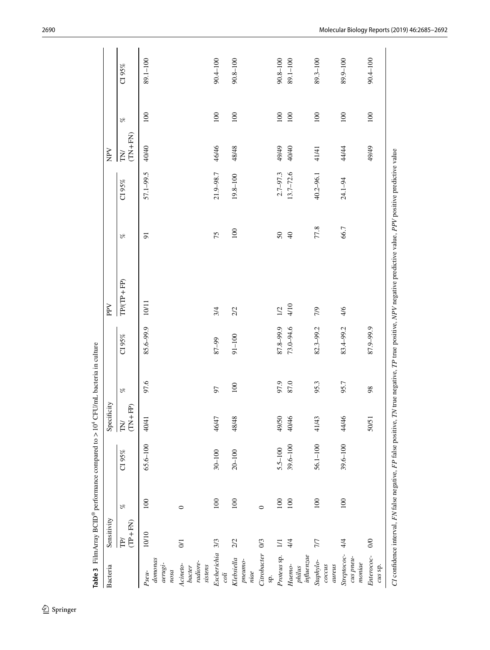| Bacteria                                  | Sensitivity      |         |              | Specificity                                 |      |               | PPV                                                                                                                                                            |                |               | NPV                      |                             |              |
|-------------------------------------------|------------------|---------|--------------|---------------------------------------------|------|---------------|----------------------------------------------------------------------------------------------------------------------------------------------------------------|----------------|---------------|--------------------------|-----------------------------|--------------|
|                                           | $(TP + FN)$<br>P | $\%$    | CI $95\%$    | FP)<br>$+ 7 + 1$<br>$\overline{\mathrm{F}}$ | $\%$ | C195%         | $TP/(TP+FP)$                                                                                                                                                   | $\%$           | CI $95\%$     | $(TN + FN)$<br><b>NT</b> | $\mathcal{S}_{\mathcal{C}}$ | CI 95%       |
| domonas<br>$aerugi$ -<br>nosa<br>$P$ seu- | 10/10            | 100     | $65.6 - 100$ | 40/41                                       | 97.6 | 85.6-99.9     | 10/11                                                                                                                                                          | 51             | 57.1-99.5     | 40/40                    | 100                         | 89.1-100     |
| radiore-<br>Acineto-<br>sistens<br>bacter | $\overline{0}$   | $\circ$ |              |                                             |      |               |                                                                                                                                                                |                |               |                          |                             |              |
| Escherichia<br>coli                       | 3/3              | 100     | $30 - 100$   | 46/47                                       | 57   | 87-99         | 3/4                                                                                                                                                            | 75             | 21.9-98.7     | 46/46                    | 100                         | $90.4 - 100$ |
| Klebsiella<br>pneumo-<br>niae             | 2/2              | 100     | $20 - 100$   | 48/48                                       | 100  | $91 - 100$    | 2/2                                                                                                                                                            | 100            | $19.8 - 100$  | 48/48                    | 100                         | $90.8 - 100$ |
| Citrobacter<br>sp.                        | 0/3              | $\circ$ |              |                                             |      |               |                                                                                                                                                                |                |               |                          |                             |              |
| Proteus sp.                               | $\overline{11}$  | 100     | $5.5 - 100$  | 49/50                                       | 97.9 | 87.8-99.9     | 1/2                                                                                                                                                            | $50\,$         | $2.7 - 97.3$  | 49/49                    | 100                         | $90.8 - 100$ |
| influence<br>Haemo-<br>philus             | 4/4              | 100     | $39.6 - 100$ | 40/46                                       | 87.0 | $73.0 - 94.6$ | 4/10                                                                                                                                                           | $\overline{4}$ | $13.7 - 72.6$ | 40/40                    | 100                         | 89.1-100     |
| Staphylo-<br>cocus<br>aureus              | 777              | 100     | $56.1 - 100$ | 41/43                                       | 95.3 | 82.3-99.2     | 7/9                                                                                                                                                            | 77.8           | 40.2-96.1     | 41/41                    | 100                         | 89.3-100     |
| Streptococ-<br>cus pneu-<br>$monic$       | 4/4              | 100     | $39.6 - 100$ | 44/46                                       | 95.7 | 83.4-99.2     | 4/6                                                                                                                                                            | 66.7           | 24.1-94       | 44/44                    | 100                         | $89.9 - 100$ |
| Enterococ-<br>cus sp.                     | $\infty$         |         |              | 50/51                                       | 98   | 87.9-99.9     |                                                                                                                                                                |                |               | 49/49                    | 100                         | $90.4 - 100$ |
|                                           |                  |         |              |                                             |      |               | CI confidence interval, FN false negative, FP false positive, TN true negative, TP true positive, NPV negative predictive value, PPV positive predictive value |                |               |                          |                             |              |

<span id="page-5-0"></span> $\underline{\textcircled{\tiny 2}}$  Springer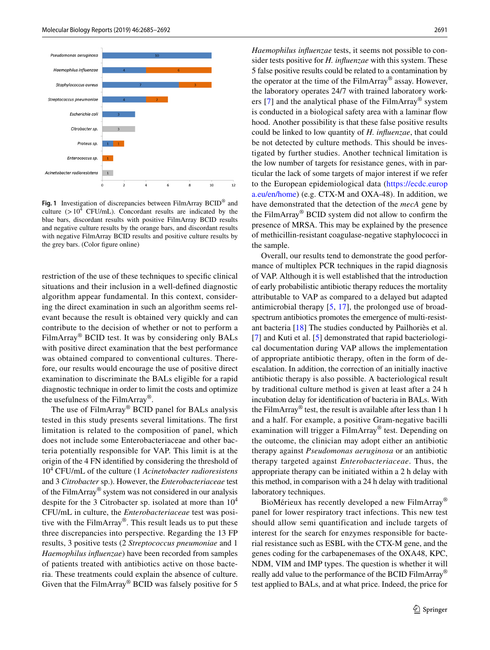

<span id="page-6-0"></span>**Fig. 1** Investigation of discrepancies between FilmArray BCID® and culture  $(>10^4 \text{ CFU/mL})$ . Concordant results are indicated by the blue bars, discordant results with positive FilmArray BCID results and negative culture results by the orange bars, and discordant results with negative FilmArray BCID results and positive culture results by the grey bars. (Color figure online)

restriction of the use of these techniques to specific clinical situations and their inclusion in a well-defined diagnostic algorithm appear fundamental. In this context, considering the direct examination in such an algorithm seems relevant because the result is obtained very quickly and can contribute to the decision of whether or not to perform a FilmArray® BCID test. It was by considering only BALs with positive direct examination that the best performance was obtained compared to conventional cultures. Therefore, our results would encourage the use of positive direct examination to discriminate the BALs eligible for a rapid diagnostic technique in order to limit the costs and optimize the usefulness of the FilmArray®.

The use of FilmArray® BCID panel for BALs analysis tested in this study presents several limitations. The first limitation is related to the composition of panel, which does not include some Enterobacteriaceae and other bacteria potentially responsible for VAP. This limit is at the origin of the 4 FN identified by considering the threshold of 10<sup>4</sup> CFU/mL of the culture (1 *Acinetobacter radioresistens* and 3 *Citrobacter* sp.). However, the *Enterobacteriaceae* test of the FilmArray® system was not considered in our analysis despite for the 3 Citrobacter sp. isolated at more than  $10^4$ CFU/mL in culture, the *Enterobacteriaceae* test was positive with the FilmArray®. This result leads us to put these three discrepancies into perspective. Regarding the 13 FP results, 3 positive tests (2 *Streptococcus pneumoniae* and 1 *Haemophilus influenzae*) have been recorded from samples of patients treated with antibiotics active on those bacteria. These treatments could explain the absence of culture. Given that the FilmArray® BCID was falsely positive for 5 *Haemophilus influenzae* tests, it seems not possible to consider tests positive for *H. influenzae* with this system. These 5 false positive results could be related to a contamination by the operator at the time of the FilmArray® assay. However, the laboratory operates 24/7 with trained laboratory workers [\[7\]](#page-7-6) and the analytical phase of the FilmArray® system is conducted in a biological safety area with a laminar flow hood. Another possibility is that these false positive results could be linked to low quantity of *H. influenzae*, that could be not detected by culture methods. This should be investigated by further studies. Another technical limitation is the low number of targets for resistance genes, with in particular the lack of some targets of major interest if we refer to the European epidemiological data ([https://ecdc.europ](https://ecdc.europa.eu/en/home) [a.eu/en/home](https://ecdc.europa.eu/en/home)) (e.g. CTX-M and OXA-48). In addition, we have demonstrated that the detection of the *mecA* gene by the FilmArray® BCID system did not allow to confirm the presence of MRSA. This may be explained by the presence of methicillin-resistant coagulase-negative staphylococci in the sample.

Overall, our results tend to demonstrate the good performance of multiplex PCR techniques in the rapid diagnosis of VAP. Although it is well established that the introduction of early probabilistic antibiotic therapy reduces the mortality attributable to VAP as compared to a delayed but adapted antimicrobial therapy [[5,](#page-7-4) [17](#page-7-16)], the prolonged use of broadspectrum antibiotics promotes the emergence of multi-resistant bacteria [\[18\]](#page-7-17) The studies conducted by Pailhoriès et al. [[7\]](#page-7-6) and Kuti et al. [\[5\]](#page-7-4) demonstrated that rapid bacteriological documentation during VAP allows the implementation of appropriate antibiotic therapy, often in the form of deescalation. In addition, the correction of an initially inactive antibiotic therapy is also possible. A bacteriological result by traditional culture method is given at least after a 24 h incubation delay for identification of bacteria in BALs. With the FilmArray® test, the result is available after less than 1 h and a half. For example, a positive Gram-negative bacilli examination will trigger a FilmArray® test. Depending on the outcome, the clinician may adopt either an antibiotic therapy against *Pseudomonas aeruginosa* or an antibiotic therapy targeted against *Enterobacteriaceae*. Thus, the appropriate therapy can be initiated within a 2 h delay with this method, in comparison with a 24 h delay with traditional laboratory techniques.

BioMérieux has recently developed a new FilmArray® panel for lower respiratory tract infections. This new test should allow semi quantification and include targets of interest for the search for enzymes responsible for bacterial resistance such as ESBL with the CTX-M gene, and the genes coding for the carbapenemases of the OXA48, KPC, NDM, VIM and IMP types. The question is whether it will really add value to the performance of the BCID FilmArray® test applied to BALs, and at what price. Indeed, the price for